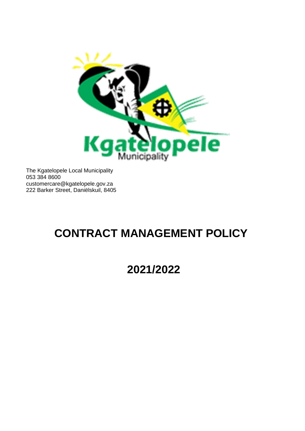

The Kgatelopele Local Municipality 053 384 8600 [customercare@kgatelopele.gov.za](mailto:customercare@kgatelopele.gov.za) 222 Barker Street, Daniëlskuil, 8405

# **CONTRACT MANAGEMENT POLICY**

**2021/2022**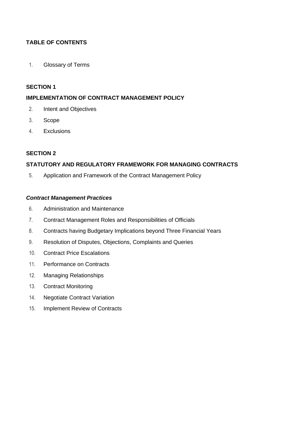## **TABLE OF CONTENTS**

1. Glossary of Terms

## **SECTION 1**

## **IMPLEMENTATION OF CONTRACT MANAGEMENT POLICY**

- 2. Intent and Objectives
- 3. Scope
- 4. Exclusions

## **SECTION 2**

## **STATUTORY AND REGULATORY FRAMEWORK FOR MANAGING CONTRACTS**

5. Application and Framework of the Contract Management Policy

#### *Contract Management Practices*

- 6. Administration and Maintenance
- 7. Contract Management Roles and Responsibilities of Officials
- 8. Contracts having Budgetary Implications beyond Three Financial Years
- 9. Resolution of Disputes, Objections, Complaints and Queries
- 10. Contract Price Escalations
- 11. Performance on Contracts
- 12. Managing Relationships
- 13. Contract Monitoring
- 14. Negotiate Contract Variation
- 15. Implement Review of Contracts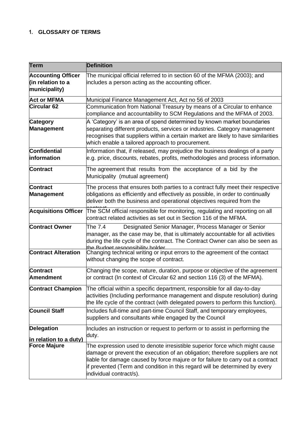## **1. GLOSSARY OF TERMS**

| <b>Term</b>                                                     | <b>Definition</b>                                                                                                                                                                                                                                                                                                                                         |
|-----------------------------------------------------------------|-----------------------------------------------------------------------------------------------------------------------------------------------------------------------------------------------------------------------------------------------------------------------------------------------------------------------------------------------------------|
| <b>Accounting Officer</b><br>(in relation to a<br>municipality) | The municipal official referred to in section 60 of the MFMA (2003); and<br>includes a person acting as the accounting officer.                                                                                                                                                                                                                           |
| <b>Act or MFMA</b>                                              | Municipal Finance Management Act, Act no 56 of 2003                                                                                                                                                                                                                                                                                                       |
| <b>Circular 62</b>                                              | Communication from National Treasury by means of a Circular to enhance<br>compliance and accountability to SCM Regulations and the MFMA of 2003.                                                                                                                                                                                                          |
| <b>Category</b><br><b>Management</b>                            | A 'Category' is an area of spend determined by known market boundaries<br>separating different products, services or industries. Category management<br>recognises that suppliers within a certain market are likely to have similarities<br>which enable a tailored approach to procurement.                                                             |
| <b>Confidential</b><br>information                              | Information that, if released, may prejudice the business dealings of a party<br>e.g. price, discounts, rebates, profits, methodologies and process information.                                                                                                                                                                                          |
| <b>Contract</b>                                                 | The agreement that results from the acceptance of a bid by the<br>Municipality (mutual agreement)                                                                                                                                                                                                                                                         |
| <b>Contract</b><br><b>Management</b>                            | The process that ensures both parties to a contract fully meet their respective<br>obligations as efficiently and effectively as possible, in order to continually<br>deliver both the business and operational objectives required from the                                                                                                              |
| <b>Acquisitions Officer</b>                                     | The SCM official responsible for monitoring, regulating and reporting on all<br>contract related activities as set out in Section 116 of the MFMA.                                                                                                                                                                                                        |
| <b>Contract Owner</b>                                           | The 7.4<br>Designated Senior Manager, Process Manager or Senior<br>manager, as the case may be, that is ultimately accountable for all activities<br>during the life cycle of the contract. The Contract Owner can also be seen as<br>the Budget responsibility bolder                                                                                    |
| <b>Contract Alteration</b>                                      | Changing technical writing or input errors to the agreement of the contact<br>without changing the scope of contract.                                                                                                                                                                                                                                     |
| <b>Contract</b><br><b>Amendment</b>                             | Changing the scope, nature, duration, purpose or objective of the agreement<br>or contract (In context of Circular 62 and section 116 (3) of the MFMA).                                                                                                                                                                                                   |
| <b>Contract Champion</b>                                        | The official within a specific department, responsible for all day-to-day<br>activities (Including performance management and dispute resolution) during<br>the life cycle of the contract (with delegated powers to perform this function).                                                                                                              |
| <b>Council Staff</b>                                            | Includes full-time and part-time Council Staff, and temporary employees,<br>suppliers and consultants while engaged by the Council                                                                                                                                                                                                                        |
| <b>Delegation</b><br>in relation to a duty)                     | Includes an instruction or request to perform or to assist in performing the<br>duty.                                                                                                                                                                                                                                                                     |
| <b>Force Majure</b>                                             | The expression used to denote irresistible superior force which might cause<br>damage or prevent the execution of an obligation; therefore suppliers are not<br>liable for damage caused by force majure or for failure to carry out a contract<br>if prevented (Term and condition in this regard will be determined by every<br>individual contract/s). |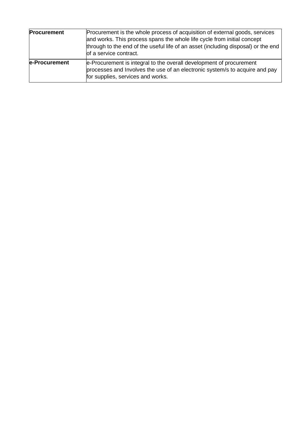| <b>Procurement</b> | Procurement is the whole process of acquisition of external goods, services<br>and works. This process spans the whole life cycle from initial concept<br>through to the end of the useful life of an asset (including disposal) or the end<br>of a service contract. |
|--------------------|-----------------------------------------------------------------------------------------------------------------------------------------------------------------------------------------------------------------------------------------------------------------------|
| e-Procurement      | e-Procurement is integral to the overall development of procurement<br>processes and Involves the use of an electronic system/s to acquire and pay<br>for supplies, services and works.                                                                               |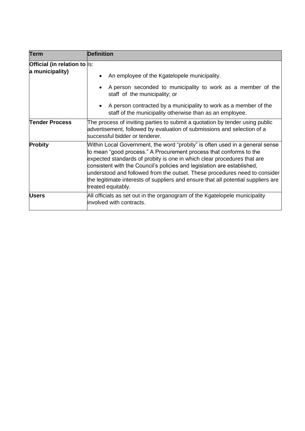| Term                                            | <b>Definition</b>                                                                                                                                                                                                                                                                                                                                                                                                                                                                                 |
|-------------------------------------------------|---------------------------------------------------------------------------------------------------------------------------------------------------------------------------------------------------------------------------------------------------------------------------------------------------------------------------------------------------------------------------------------------------------------------------------------------------------------------------------------------------|
| Official (in relation to  s:<br>a municipality) |                                                                                                                                                                                                                                                                                                                                                                                                                                                                                                   |
|                                                 | An employee of the Kgatelopele municipality.<br>$\bullet$                                                                                                                                                                                                                                                                                                                                                                                                                                         |
|                                                 | A person seconded to municipality to work as a member of the<br>staff of the municipality; or                                                                                                                                                                                                                                                                                                                                                                                                     |
|                                                 | • A person contracted by a municipality to work as a member of the<br>staff of the municipality otherwise than as an employee.                                                                                                                                                                                                                                                                                                                                                                    |
| <b>Tender Process</b>                           | The process of inviting parties to submit a quotation by tender using public<br>advertisement, followed by evaluation of submissions and selection of a<br>successful bidder or tenderer.                                                                                                                                                                                                                                                                                                         |
| <b>Probity</b>                                  | Within Local Government, the word "probity" is often used in a general sense<br>to mean "good process." A Procurement process that conforms to the<br>expected standards of probity is one in which clear procedures that are<br>consistent with the Council's policies and legislation are established,<br>understood and followed from the outset. These procedures need to consider<br>the legitimate interests of suppliers and ensure that all potential suppliers are<br>treated equitably. |
| <b>Users</b>                                    | All officials as set out in the organogram of the Kgatelopele municipality<br>linvolved with contracts.                                                                                                                                                                                                                                                                                                                                                                                           |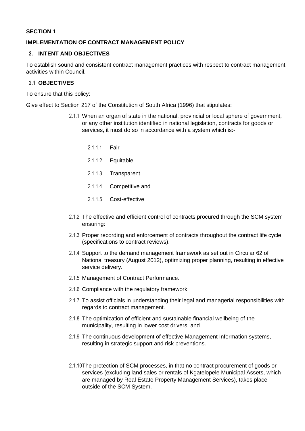#### **SECTION 1**

#### **IMPLEMENTATION OF CONTRACT MANAGEMENT POLICY**

## **2. INTENT AND OBJECTIVES**

To establish sound and consistent contract management practices with respect to contract management activities within Council.

## **2.1 OBJECTIVES**

To ensure that this policy:

Give effect to Section 217 of the Constitution of South Africa (1996) that stipulates:

- 2.1.1 When an organ of state in the national, provincial or local sphere of government, or any other institution identified in national legislation, contracts for goods or services, it must do so in accordance with a system which is:-
	- 2.1.1.1 Fair
	- 2.1.1.2 Equitable
	- 2.1.1.3 Transparent
	- 2.1.1.4 Competitive and
	- 2.1.1.5 Cost-effective
- 2.1.2 The effective and efficient control of contracts procured through the SCM system ensuring:
- 2.1.3 Proper recording and enforcement of contracts throughout the contract life cycle (specifications to contract reviews).
- 2.1.4 Support to the demand management framework as set out in Circular 62 of National treasury (August 2012), optimizing proper planning, resulting in effective service delivery.
- 2.1.5 Management of Contract Performance.
- 2.1.6 Compliance with the regulatory framework.
- 2.1.7 To assist officials in understanding their legal and managerial responsibilities with regards to contract management.
- 2.1.8 The optimization of efficient and sustainable financial wellbeing of the municipality, resulting in lower cost drivers, and
- 2.1.9 The continuous development of effective Management Information systems, resulting in strategic support and risk preventions.
- 2.1.10The protection of SCM processes, in that no contract procurement of goods or services (excluding land sales or rentals of Kgatelopele Municipal Assets, which are managed by Real Estate Property Management Services), takes place outside of the SCM System.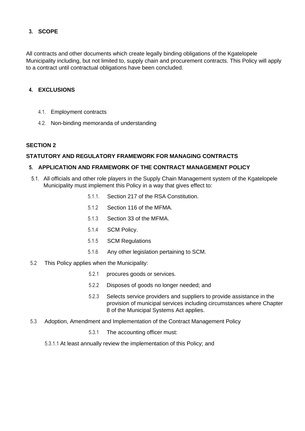## **3. SCOPE**

All contracts and other documents which create legally binding obligations of the Kgatelopele Municipality including, but not limited to, supply chain and procurement contracts. This Policy will apply to a contract until contractual obligations have been concluded.

## **4. EXCLUSIONS**

- 4.1. Employment contracts
- 4.2. Non-binding memoranda of understanding

## **SECTION 2**

#### **STATUTORY AND REGULATORY FRAMEWORK FOR MANAGING CONTRACTS**

#### **5. APPLICATION AND FRAMEWORK OF THE CONTRACT MANAGEMENT POLICY**

- 5.1. All officials and other role players in the Supply Chain Management system of the Kgatelopele Municipality must implement this Policy in a way that gives effect to:
	- 5.1.1. Section 217 of the RSA Constitution.
	- 5.1.2 Section 116 of the MFMA.
	- 5.1.3 Section 33 of the MFMA.
	- 5.1.4 SCM Policy.
	- 5.1.5 SCM Regulations
	- 5.1.6 Any other legislation pertaining to SCM.
- 5.2 This Policy applies when the Municipality:
	- 5.2.1 procures goods or services.
	- 5.2.2 Disposes of goods no longer needed; and
	- 5.2.3 Selects service providers and suppliers to provide assistance in the provision of municipal services including circumstances where Chapter 8 of the Municipal Systems Act applies.
- 5.3 Adoption, Amendment and Implementation of the Contract Management Policy
	- 5.3.1 The accounting officer must:
	- 5.3.1.1 At least annually review the implementation of this Policy; and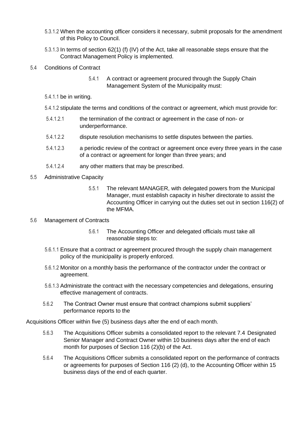- 5.3.1.2 When the accounting officer considers it necessary, submit proposals for the amendment of this Policy to Council.
- 5.3.1.3 In terms of section 62(1) (f) (IV) of the Act, take all reasonable steps ensure that the Contract Management Policy is implemented.

## 5.4 Conditions of Contract

5.4.1 A contract or agreement procured through the Supply Chain Management System of the Municipality must:

- 5.4.1.1 be in writing.
- 5.4.1.2 stipulate the terms and conditions of the contract or agreement, which must provide for:
- 5.4.1.2.1 the termination of the contract or agreement in the case of non- or underperformance.
- 5.4.1.2.2 dispute resolution mechanisms to settle disputes between the parties.
- 5.4.1.2.3 a periodic review of the contract or agreement once every three years in the case of a contract or agreement for longer than three years; and
- 5.4.1.2.4 any other matters that may be prescribed.
- 5.5 Administrative Capacity
	- 5.5.1 The relevant MANAGER, with delegated powers from the Municipal Manager, must establish capacity in his/her directorate to assist the Accounting Officer in carrying out the duties set out in section 116(2) of the MFMA.

#### 5.6 Management of Contracts

- 5.6.1 The Accounting Officer and delegated officials must take all reasonable steps to:
- 5.6.1.1 Ensure that a contract or agreement procured through the supply chain management policy of the municipality is properly enforced.
- 5.6.1.2 Monitor on a monthly basis the performance of the contractor under the contract or agreement.
- 5.6.1.3 Administrate the contract with the necessary competencies and delegations, ensuring effective management of contracts.
- 5.6.2 The Contract Owner must ensure that contract champions submit suppliers' performance reports to the

Acquisitions Officer within five (5) business days after the end of each month.

- 5.6.3 The Acquisitions Officer submits a consolidated report to the relevant 7.4 Designated Senior Manager and Contract Owner within 10 business days after the end of each month for purposes of Section 116 (2)(b) of the Act.
- 5.6.4 The Acquisitions Officer submits a consolidated report on the performance of contracts or agreements for purposes of Section 116 (2) (d), to the Accounting Officer within 15 business days of the end of each quarter.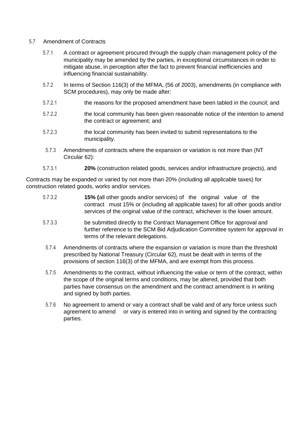## 5.7 Amendment of Contracts

- 5.7.1 A contract or agreement procured through the supply chain management policy of the municipality may be amended by the parties, in exceptional circumstances in order to mitigate abuse, in perception after the fact to prevent financial inefficiencies and influencing financial sustainability.
- 5.7.2 In terms of Section 116(3) of the MFMA, (56 of 2003), amendments (in compliance with SCM procedures), may only be made after:
- 5.7.2.1 the reasons for the proposed amendment have been tabled in the council; and
- 5.7.2.2 the local community has been given reasonable notice of the intention to amend the contract or agreement; and
- 5.7.2.3 the local community has been invited to submit representations to the municipality.
- 5.7.3 Amendments of contracts where the expansion or variation is not more than (NT Circular 62):
- 5.7.3.1 **20%** (construction related goods, services and/or infrastructure projects), and

Contracts may be expanded or varied by not more than 20% (including all applicable taxes) for construction related goods, works and/or services.

- 5.7.3.2 **15% (**all other goods and/or services) of the original value of the contract must 15% or (including all applicable taxes) for all other goods and/or services of the original value of the contract, whichever is the lower amount.
- 5.7.3.3 be submitted directly to the Contract Management Office for approval and further reference to the SCM Bid Adjudication Committee system for approval in terms of the relevant delegations.
- 5.7.4 Amendments of contracts where the expansion or variation is more than the threshold prescribed by National Treasury (Circular 62), must be dealt with in terms of the provisions of section 116(3) of the MFMA, and are exempt from this process.
- 5.7.5 Amendments to the contract, without influencing the value or term of the contract, within the scope of the original terms and conditions, may be altered, provided that both parties have consensus on the amendment and the contract amendment is in writing and signed by both parties.
- 5.7.6 No agreement to amend or vary a contract shall be valid and of any force unless such agreement to amend or vary is entered into in writing and signed by the contracting parties.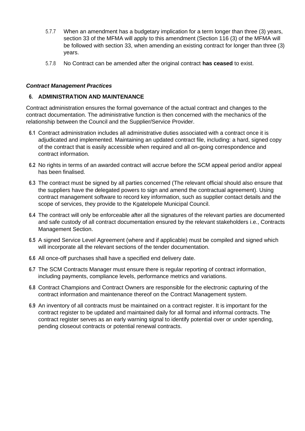- 5.7.7 When an amendment has a budgetary implication for a term longer than three (3) years, section 33 of the MFMA will apply to this amendment (Section 116 (3) of the MFMA will be followed with section 33, when amending an existing contract for longer than three (3) years.
- 5.7.8 No Contract can be amended after the original contract **has ceased** to exist.

## *Contract Management Practices*

## **6. ADMINISTRATION AND MAINTENANCE**

Contract administration ensures the formal governance of the actual contract and changes to the contract documentation. The administrative function is then concerned with the mechanics of the relationship between the Council and the Supplier/Service Provider.

- **6.1** Contract administration includes all administrative duties associated with a contract once it is adjudicated and implemented. Maintaining an updated contract file, including: a hard, signed copy of the contract that is easily accessible when required and all on-going correspondence and contract information.
- **6.2** No rights in terms of an awarded contract will accrue before the SCM appeal period and/or appeal has been finalised.
- **6.3** The contract must be signed by all parties concerned (The relevant official should also ensure that the suppliers have the delegated powers to sign and amend the contractual agreement). Using contract management software to record key information, such as supplier contact details and the scope of services, they provide to the Kgatelopele Municipal Council.
- **6.4** The contract will only be enforceable after all the signatures of the relevant parties are documented and safe custody of all contract documentation ensured by the relevant stakeholders i.e., Contracts Management Section.
- **6.5** A signed Service Level Agreement (where and if applicable) must be compiled and signed which will incorporate all the relevant sections of the tender documentation.
- **6.6** All once-off purchases shall have a specified end delivery date.
- **6.7** The SCM Contracts Manager must ensure there is regular reporting of contract information, including payments, compliance levels, performance metrics and variations.
- **6.8** Contract Champions and Contract Owners are responsible for the electronic capturing of the contract information and maintenance thereof on the Contract Management system.
- **6.9** An inventory of all contracts must be maintained on a contract register. It is important for the contract register to be updated and maintained daily for all formal and informal contracts. The contract register serves as an early warning signal to identify potential over or under spending, pending closeout contracts or potential renewal contracts.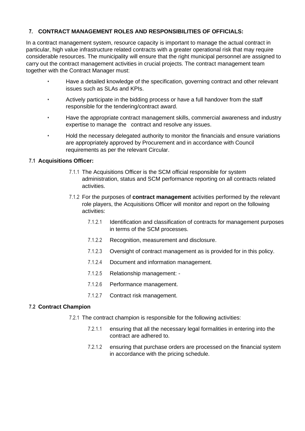## **7. CONTRACT MANAGEMENT ROLES AND RESPONSIBILITIES OF OFFICIALS:**

In a contract management system, resource capacity is important to manage the actual contract in particular, high value infrastructure related contracts with a greater operational risk that may require considerable resources. The municipality will ensure that the right municipal personnel are assigned to carry out the contract management activities in crucial projects. The contract management team together with the Contract Manager must:

- Have a detailed knowledge of the specification, governing contract and other relevant issues such as SLAs and KPIs.
- Actively participate in the bidding process or have a full handover from the staff responsible for the tendering/contract award.
- Have the appropriate contract management skills, commercial awareness and industry expertise to manage the contract and resolve any issues.
- Hold the necessary delegated authority to monitor the financials and ensure variations are appropriately approved by Procurement and in accordance with Council requirements as per the relevant Circular.

## **7.1 Acquisitions Officer:**

- 7.1.1 The Acquisitions Officer is the SCM official responsible for system administration, status and SCM performance reporting on all contracts related activities.
- 7.1.2 For the purposes of **contract management** activities performed by the relevant role players, the Acquisitions Officer will monitor and report on the following activities:
	- 7.1.2.1 Identification and classification of contracts for management purposes in terms of the SCM processes.
	- 7.1.2.2 Recognition, measurement and disclosure.
	- 7.1.2.3 Oversight of contract management as is provided for in this policy.
	- 7.1.2.4 Document and information management.
	- 7.1.2.5 Relationship management: -
	- 7.1.2.6 Performance management.
	- 7.1.2.7 Contract risk management.

## **7.2 Contract Champion**

- 7.2.1 The contract champion is responsible for the following activities:
	- 7.2.1.1 ensuring that all the necessary legal formalities in entering into the contract are adhered to.
	- 7.2.1.2 ensuring that purchase orders are processed on the financial system in accordance with the pricing schedule.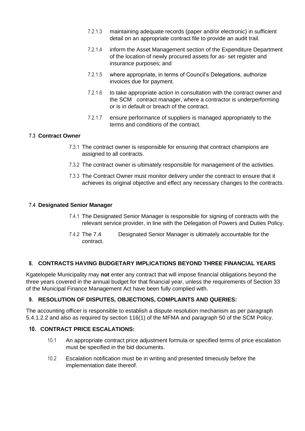- 7.2.1.3 maintaining adequate records (paper and/or electronic) in sufficient detail on an appropriate contract file to provide an audit trail.
- 7.2.1.4 inform the Asset Management section of the Expenditure Department of the location of newly procured assets for as- set register and insurance purposes; and
- 7.2.1.5 where appropriate, in terms of Council's Delegations, authorize invoices due for payment.
- 7.2.1.6 to take appropriate action in consultation with the contract owner and the SCM contract manager, where a contractor is underperforming or is in default or breach of the contract.
- 7.2.1.7 ensure performance of suppliers is managed appropriately to the terms and conditions of the contract.

## **7.3 Contract Owner**

- 7.3.1 The contract owner is responsible for ensuring that contract champions are assigned to all contracts.
- 7.3.2 The contract owner is ultimately responsible for management of the activities.
- 7.3.3 The Contract Owner must monitor delivery under the contract to ensure that it achieves its original objective and effect any necessary changes to the contracts.

## **7.4 Designated Senior Manager**

- 7.4.1 The Designated Senior Manager is responsible for signing of contracts with the relevant service provider, in line with the Delegation of Powers and Duties Policy.
- 7.4.2 The 7.4 Designated Senior Manager is ultimately accountable for the contract.

## **8. CONTRACTS HAVING BUDGETARY IMPLICATIONS BEYOND THREE FINANCIAL YEARS**

Kgatelopele Municipality may **not** enter any contract that will impose financial obligations beyond the three years covered in the annual budget for that financial year, unless the requirements of Section 33 of the Municipal Finance Management Act have been fully complied with.

## **9. RESOLUTION OF DISPUTES, OBJECTIONS, COMPLAINTS AND QUERIES:**

The accounting officer is responsible to establish a dispute resolution mechanism as per paragraph 5.4.1.2.2 and also as required by section 116(1) of the MFMA and paragraph 50 of the SCM Policy.

## **10. CONTRACT PRICE ESCALATIONS:**

- 10.1 An appropriate contract price adjustment formula or specified terms of price escalation must be specified in the bid documents.
- 10.2 Escalation notification must be in writing and presented timeously before the implementation date thereof.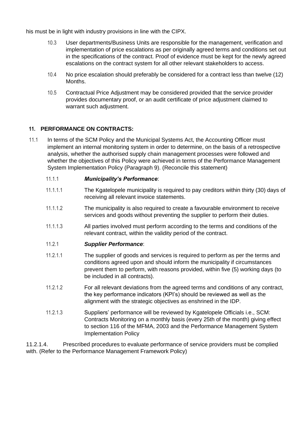his must be in light with industry provisions in line with the CIPX.

- 10.3 User departments/Business Units are responsible for the management, verification and implementation of price escalations as per originally agreed terms and conditions set out in the specifications of the contract. Proof of evidence must be kept for the newly agreed escalations on the contract system for all other relevant stakeholders to access.
- 10.4 No price escalation should preferably be considered for a contract less than twelve (12) Months.
- 10.5 Contractual Price Adjustment may be considered provided that the service provider provides documentary proof, or an audit certificate of price adjustment claimed to warrant such adjustment.

## **11. PERFORMANCE ON CONTRACTS:**

11.1 In terms of the SCM Policy and the Municipal Systems Act, the Accounting Officer must implement an internal monitoring system in order to determine, on the basis of a retrospective analysis, whether the authorised supply chain management processes were followed and whether the objectives of this Policy were achieved in terms of the Performance Management System Implementation Policy (Paragraph 9). (Reconcile this statement)

## 11.1.1 *Municipality's Performance*:

- 11.1.1.1 The Kgatelopele municipality is required to pay creditors within thirty (30) days of receiving all relevant invoice statements.
- 11.1.1.2 The municipality is also required to create a favourable environment to receive services and goods without preventing the supplier to perform their duties.
- 11.1.1.3 All parties involved must perform according to the terms and conditions of the relevant contract, within the validity period of the contract.

## 11.2.1 *Supplier Performance*:

- 11.2.1.1 The supplier of goods and services is required to perform as per the terms and conditions agreed upon and should inform the municipality if circumstances prevent them to perform, with reasons provided, within five (5) working days (to be included in all contracts).
- 11.2.1.2 For all relevant deviations from the agreed terms and conditions of any contract, the key performance indicators (KPI's) should be reviewed as well as the alignment with the strategic objectives as enshrined in the IDP.
- 11.2.1.3 Suppliers' performance will be reviewed by Kgatelopele Officials i.e., SCM: Contracts Monitoring on a monthly basis (every 25th of the month) giving effect to section 116 of the MFMA, 2003 and the Performance Management System Implementation Policy

11.2.1.4. Prescribed procedures to evaluate performance of service providers must be complied with. (Refer to the Performance Management Framework Policy)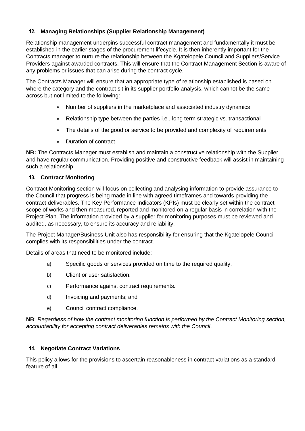## **12. Managing Relationships (Supplier Relationship Management)**

Relationship management underpins successful contract management and fundamentally it must be established in the earlier stages of the procurement lifecycle. It is then inherently important for the Contracts manager to nurture the relationship between the Kgatelopele Council and Suppliers/Service Providers against awarded contracts. This will ensure that the Contract Management Section is aware of any problems or issues that can arise during the contract cycle.

The Contracts Manager will ensure that an appropriate type of relationship established is based on where the category and the contract sit in its supplier portfolio analysis, which cannot be the same across but not limited to the following: -

- Number of suppliers in the marketplace and associated industry dynamics
- Relationship type between the parties i.e., long term strategic vs. transactional
- The details of the good or service to be provided and complexity of requirements.
- Duration of contract

**NB:** The Contracts Manager must establish and maintain a constructive relationship with the Supplier and have regular communication. Providing positive and constructive feedback will assist in maintaining such a relationship.

## **13. Contract Monitoring**

Contract Monitoring section will focus on collecting and analysing information to provide assurance to the Council that progress is being made in line with agreed timeframes and towards providing the contract deliverables. The Key Performance Indicators (KPIs) must be clearly set within the contract scope of works and then measured, reported and monitored on a regular basis in correlation with the Project Plan. The information provided by a supplier for monitoring purposes must be reviewed and audited, as necessary, to ensure its accuracy and reliability.

The Project Manager/Business Unit also has responsibility for ensuring that the Kgatelopele Council complies with its responsibilities under the contract.

Details of areas that need to be monitored include:

- a) Specific goods or services provided on time to the required quality.
- b) Client or user satisfaction.
- c) Performance against contract requirements.
- d) Invoicing and payments; and
- e) Council contract compliance.

**NB**: *Regardless of how the contract monitoring function is performed by the Contract Monitoring section, accountability for accepting contract deliverables remains with the Council*.

## **14. Negotiate Contract Variations**

This policy allows for the provisions to ascertain reasonableness in contract variations as a standard feature of all